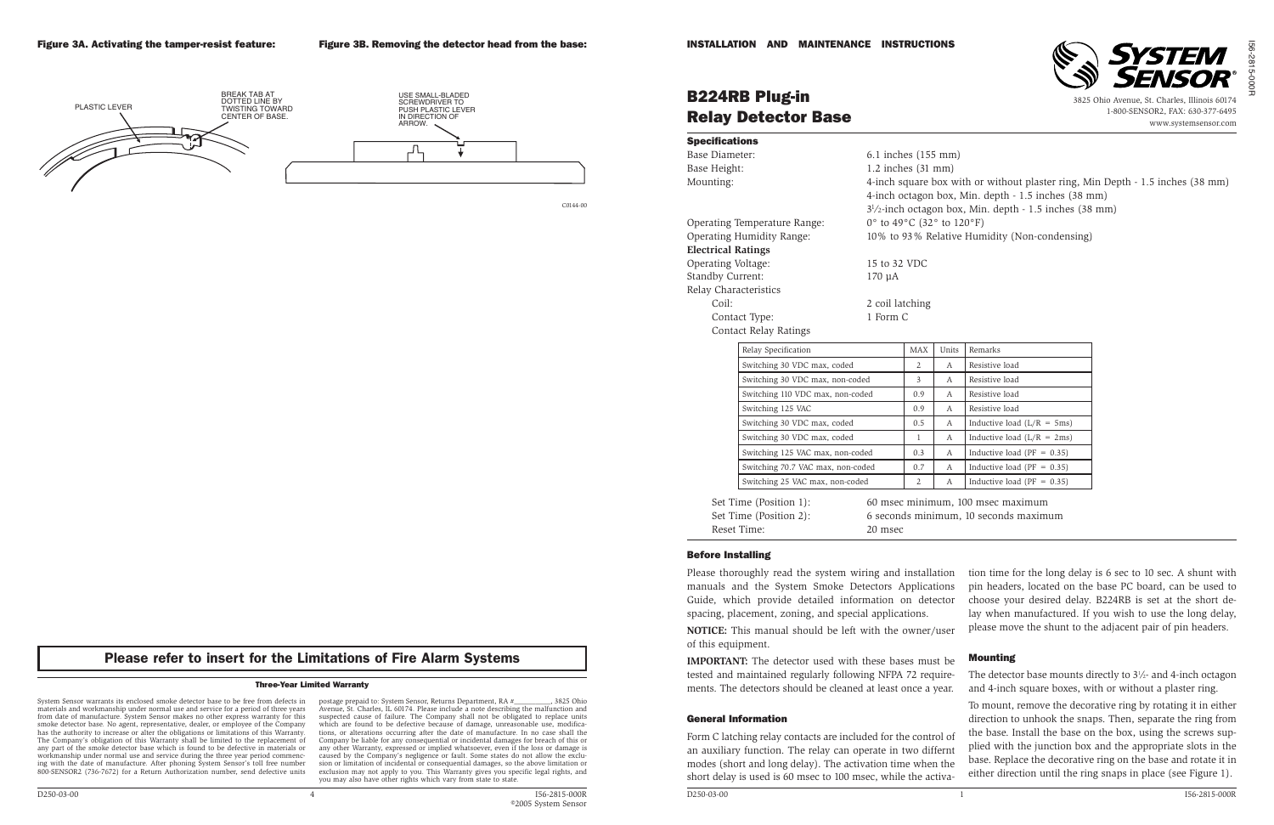

#### Three-Year Limited Warranty

System Sensor warrants its enclosed smoke detector base to be free from defects in materials and workmanship under normal use and service for a period of three years from date of manufacture. System Sensor makes no other express warranty for this smoke detector base. No agent, representative, dealer, or employee of the Company has the authority to increase or alter the obligations or limitations of this Warranty. The Company's obligation of this Warranty shall be limited to the replacement of any part of the smoke detector base which is found to be defective in materials or workmanship under normal use and service during the three year period commencing with the date of manufacture. After phoning System Sensor's toll free number 800-SENSOR2 (736-7672) for a Return Authorization number, send defective units **NOTICE:** This manual should be left with the owner/ of this equipment.

**IMPORTANT:** The detector used with these bases must tested and maintained regularly following NFPA 72 requirements. The detectors should be cleaned at least once a y

postage prepaid to: System Sensor, Returns Department, RA #\_\_\_\_\_\_\_\_\_\_, 3825 Ohio Avenue, St. Charles, IL 60174. Please include a note describing the malfunction and suspected cause of failure. The Company shall not be obligated to replace units which are found to be defective because of damage, unreasonable use, modifications, or alterations occurring after the date of manufacture. In no case shall the Company be liable for any consequential or incidental damages for breach of this or any other Warranty, expressed or implied whatsoever, even if the loss or damage is caused by the Company's negligence or fault. Some states do not allow the exclusion or limitation of incidental or consequential damages, so the above limitation or exclusion may not apply to you. This Warranty gives you specific legal rights, and you may also have other rights which vary from state to state.



C0144-00

# B224RB Plug-in Relay Detector Base

3825 Ohio Avenue, St. Charles, Illinois 60174 1-800-SENSOR2, FAX: 630-377-6495 www.systemsensor.com

- 
- 
- 
- 
- 
- 
- 

#### Before Installing

Please thoroughly read the system wiring and installation manuals and the System Smoke Detectors Applications Guide, which provide detailed information on dete spacing, placement, zoning, and special applications.

Reset Time: 20 msec

#### General Information

Form C latching relay contacts are included for the control an auxiliary function. The relay can operate in two diff modes (short and long delay). The activation time when short delay is used is 60 msec to 100 msec, while the activa-

| <b>Specifications</b>            |                                                                |                                                           |                                                                                |       |                                                     |  |  |
|----------------------------------|----------------------------------------------------------------|-----------------------------------------------------------|--------------------------------------------------------------------------------|-------|-----------------------------------------------------|--|--|
| Base Diameter:                   |                                                                |                                                           | 6.1 inches (155 mm)                                                            |       |                                                     |  |  |
| Base Height:                     |                                                                |                                                           | $1.2$ inches $(31$ mm)                                                         |       |                                                     |  |  |
| Mounting:                        |                                                                |                                                           | 4-inch square box with or without plaster ring, Min Depth - 1.5 inches (38 mm) |       |                                                     |  |  |
|                                  |                                                                |                                                           |                                                                                |       | 4-inch octagon box, Min. depth - 1.5 inches (38 mm) |  |  |
|                                  |                                                                | $31/2$ -inch octagon box, Min. depth - 1.5 inches (38 mm) |                                                                                |       |                                                     |  |  |
| Operating Temperature Range:     |                                                                | 0° to 49°C (32° to 120°F)                                 |                                                                                |       |                                                     |  |  |
| <b>Operating Humidity Range:</b> |                                                                |                                                           | 10% to 93% Relative Humidity (Non-condensing)                                  |       |                                                     |  |  |
| <b>Electrical Ratings</b>        |                                                                |                                                           |                                                                                |       |                                                     |  |  |
| Operating Voltage:               |                                                                |                                                           | 15 to 32 VDC                                                                   |       |                                                     |  |  |
| Standby Current:                 |                                                                | $170 \mu A$                                               |                                                                                |       |                                                     |  |  |
| Relay Characteristics            |                                                                |                                                           |                                                                                |       |                                                     |  |  |
| Coil:                            |                                                                |                                                           | 2 coil latching                                                                |       |                                                     |  |  |
|                                  | Contact Type:                                                  | 1 Form C                                                  |                                                                                |       |                                                     |  |  |
|                                  | <b>Contact Relay Ratings</b>                                   |                                                           |                                                                                |       |                                                     |  |  |
|                                  | Relay Specification                                            |                                                           | <b>MAX</b>                                                                     | Units | Remarks                                             |  |  |
|                                  | Switching 30 VDC max, coded<br>Switching 30 VDC max, non-coded |                                                           | 2                                                                              | A     | Resistive load                                      |  |  |
|                                  |                                                                |                                                           | 3                                                                              | А     | Resistive load                                      |  |  |
|                                  | Switching 110 VDC max, non-coded                               |                                                           | 0.9                                                                            | A     | Resistive load                                      |  |  |
|                                  | Switching 125 VAC                                              |                                                           |                                                                                | А     | Resistive load                                      |  |  |
|                                  | Switching 30 VDC max, coded                                    |                                                           |                                                                                | A     | Inductive load $(L/R = 5ms)$                        |  |  |
|                                  | Switching 30 VDC max, coded                                    |                                                           |                                                                                | A     | Inductive load $(L/R = 2ms)$                        |  |  |
|                                  | Switching 125 VAC max, non-coded                               |                                                           |                                                                                | А     | Inductive load ( $PF = 0.35$ )                      |  |  |
|                                  | Switching 70.7 VAC max, non-coded                              |                                                           |                                                                                | А     | Inductive load ( $PF = 0.35$ )                      |  |  |
|                                  | Switching 25 VAC max, non-coded                                |                                                           |                                                                                | A     | Inductive load ( $PF = 0.35$ )                      |  |  |
|                                  |                                                                |                                                           |                                                                                |       |                                                     |  |  |
|                                  | Set Time (Position 1):<br>Set Time (Position 2):               |                                                           |                                                                                |       | 60 msec minimum, 100 msec maximum                   |  |  |
|                                  |                                                                |                                                           |                                                                                |       | 6 seconds minimum, 10 seconds maximum               |  |  |

| ıtion<br>ions<br>ector<br>user   | tion time for the long delay is 6 sec to 10 sec. A shunt with<br>pin headers, located on the base PC board, can be used to<br>choose your desired delay. B224RB is set at the short de-<br>lay when manufactured. If you wish to use the long delay,<br>please move the shunt to the adjacent pair of pin headers.                                                                               |
|----------------------------------|--------------------------------------------------------------------------------------------------------------------------------------------------------------------------------------------------------------------------------------------------------------------------------------------------------------------------------------------------------------------------------------------------|
| st be                            | <b>Mounting</b>                                                                                                                                                                                                                                                                                                                                                                                  |
| uire-<br>rear.                   | The detector base mounts directly to $3\frac{1}{2}$ - and 4-inch octagon<br>and 4-inch square boxes, with or without a plaster ring.                                                                                                                                                                                                                                                             |
| ol of<br>fernt<br>ı the<br>tiva- | To mount, remove the decorative ring by rotating it in either<br>direction to unhook the snaps. Then, separate the ring from<br>the base. Install the base on the box, using the screws sup-<br>plied with the junction box and the appropriate slots in the<br>base. Replace the decorative ring on the base and rotate it in<br>either direction until the ring snaps in place (see Figure 1). |

## Please refer to insert for the Limitations of Fire Alarm Systems